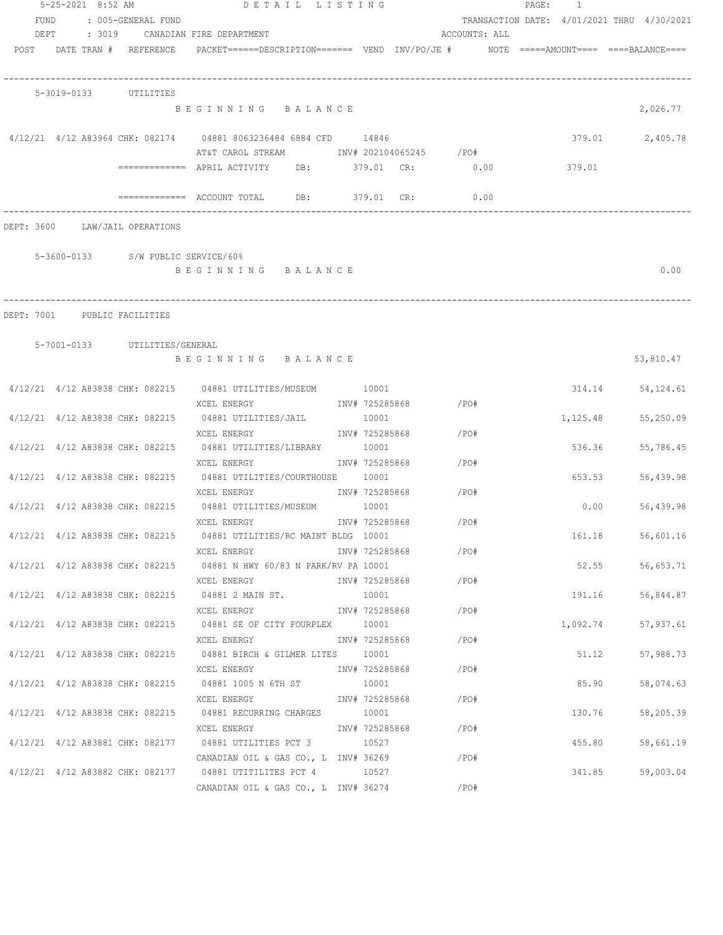|      | 5-25-2021 8:52 AM |                                    | DETAIL LISTING                                                                                              |                |                      |               | PAGE: 1  |                                            |
|------|-------------------|------------------------------------|-------------------------------------------------------------------------------------------------------------|----------------|----------------------|---------------|----------|--------------------------------------------|
| FUND |                   | : 005-GENERAL FUND                 |                                                                                                             |                |                      |               |          | TRANSACTION DATE: 4/01/2021 THRU 4/30/2021 |
| DEPT |                   |                                    | : 3019 CANADIAN FIRE DEPARTMENT                                                                             |                |                      | ACCOUNTS: ALL |          |                                            |
|      |                   | POST DATE TRAN # REFERENCE         | PACKET======DESCRIPTION=======  VEND  INV/PO/JE #     NOTE =====AMOUNT====  ====BALANCE====                 |                |                      |               |          |                                            |
|      |                   | 5-3019-0133 UTILITIES              |                                                                                                             |                |                      |               |          |                                            |
|      |                   |                                    | BEGINNING BALANCE                                                                                           |                |                      |               |          | 2,026.77                                   |
|      |                   |                                    | 4/12/21 4/12 A83964 CHK: 082174 04881 8063236484 6884 CFD 14846<br>AT&T CAROL STREAM TNV# 202104065245 /PO# |                |                      |               |          | 379.01 2,405.78                            |
|      |                   |                                    | ============ APRIL ACTIVITY DB: 379.01 CR: 0.00                                                             |                |                      |               | 379.01   |                                            |
|      |                   |                                    |                                                                                                             |                |                      | 0.00          |          |                                            |
|      |                   | DEPT: 3600 LAW/JAIL OPERATIONS     |                                                                                                             |                |                      |               |          |                                            |
|      |                   | 5-3600-0133 S/W PUBLIC SERVICE/60% |                                                                                                             |                |                      |               |          |                                            |
|      |                   |                                    | BEGINNING BALANCE                                                                                           |                |                      |               |          | 0.00                                       |
|      |                   |                                    |                                                                                                             |                |                      |               |          |                                            |
|      |                   | DEPT: 7001 PUBLIC FACILITIES       |                                                                                                             |                |                      |               |          |                                            |
|      |                   | 5-7001-0133 UTILITIES/GENERAL      |                                                                                                             |                |                      |               |          |                                            |
|      |                   |                                    | BEGINNING BALANCE                                                                                           |                |                      |               |          | 53,810.47                                  |
|      |                   |                                    | 4/12/21 4/12 A83838 CHK: 082215 04881 UTILITIES/MUSEUM 10001                                                |                |                      |               |          | 314.14<br>54,124.61                        |
|      |                   |                                    | XCEL ENERGY<br>4/12/21 4/12 A83838 CHK: 082215 04881 UTILITIES/JAIL                                         | 10001          | INV# 725285868       | $/$ PO#       | 1,125.48 | 55,250.09                                  |
|      |                   |                                    | XCEL ENERGY                                                                                                 |                | INV# 725285868 /PO#  |               |          |                                            |
|      |                   | 4/12/21 4/12 A83838 CHK: 082215    | 04881 UTILITIES/LIBRARY                                                                                     | 10001          |                      |               |          | 536.36<br>55,786.45                        |
|      |                   |                                    | XCEL ENERGY                                                                                                 |                | INV# 725285868 /PO#  |               |          |                                            |
|      |                   |                                    | 4/12/21 4/12 A83838 CHK: 082215 04881 UTILITIES/COURTHOUSE 10001                                            |                |                      |               |          | 653.53<br>56,439.98                        |
|      |                   |                                    | XCEL ENERGY<br>4/12/21 4/12 A83838 CHK: 082215 04881 UTILITIES/MUSEUM 10001                                 |                | INV# 725285868 / PO# |               |          | 0.00                                       |
|      |                   |                                    | XCEL ENERGY                                                                                                 | INV# 725285868 |                      | /PO#          |          | 56,439.98                                  |
|      |                   |                                    | 4/12/21 4/12 A83838 CHK: 082215 04881 UTILITIES/RC MAINT BLDG 10001                                         |                |                      |               |          | 161.18<br>56,601.16                        |
|      |                   |                                    | XCEL ENERGY                                                                                                 | INV# 725285868 |                      | /PO#          |          |                                            |
|      |                   |                                    | 4/12/21 4/12 A83838 CHK: 082215 04881 N HWY 60/83 N PARK/RV PA 10001                                        |                |                      |               |          | 52.55<br>56,653.71                         |
|      |                   |                                    | XCEL ENERGY                                                                                                 |                | INV# 725285868       | /PO#          |          |                                            |
|      |                   |                                    | $4/12/21$ $4/12$ A83838 CHK: 082215 04881 2 MAIN ST.                                                        | 10001          |                      |               |          | 191.16<br>56,844.87                        |
|      |                   |                                    | XCEL ENERGY                                                                                                 |                | INV# 725285868       | /PO#          |          |                                            |
|      |                   |                                    | 4/12/21 4/12 A83838 CHK: 082215 04881 SE OF CITY FOURPLEX                                                   | 10001          |                      |               | 1,092.74 | 57,937.61                                  |
|      |                   |                                    | XCEL ENERGY                                                                                                 |                | INV# 725285868       | /PO#          |          |                                            |
|      |                   |                                    | $4/12/21$ $4/12$ A83838 CHK: 082215 04881 BIRCH & GILMER LITES                                              | 10001          |                      |               |          | 51.12<br>57,988.73                         |
|      |                   |                                    | XCEL ENERGY                                                                                                 | INV# 725285868 |                      | /PO#          |          |                                            |
|      |                   |                                    | 4/12/21 4/12 A83838 CHK: 082215 04881 1005 N 6TH ST                                                         | 10001          |                      |               |          | 85.90<br>58,074.63                         |
|      |                   |                                    | XCEL ENERGY                                                                                                 | INV# 725285868 |                      | /PO#          |          |                                            |
|      |                   | 4/12/21 4/12 A83838 CHK: 082215    | 04881 RECURRING CHARGES 10001<br>XCEL ENERGY                                                                | INV# 725285868 |                      | /PO#          | 130.76   | 58,205.39                                  |
|      |                   |                                    | 4/12/21 4/12 A83881 CHK: 082177 04881 UTILITIES PCT 3 10527                                                 |                |                      |               | 455.80   | 58,661.19                                  |
|      |                   |                                    | CANADIAN OIL & GAS CO., L INV# 36269                                                                        |                |                      | /PO#          |          |                                            |
|      |                   |                                    | 4/12/21 4/12 A83882 CHK: 082177 04881 UTITILITES PCT 4 10527                                                |                |                      |               |          | 341.85<br>59,003.04                        |
|      |                   |                                    | CANADIAN OIL & GAS CO., L INV# 36274                                                                        |                |                      | /PO#          |          |                                            |
|      |                   |                                    |                                                                                                             |                |                      |               |          |                                            |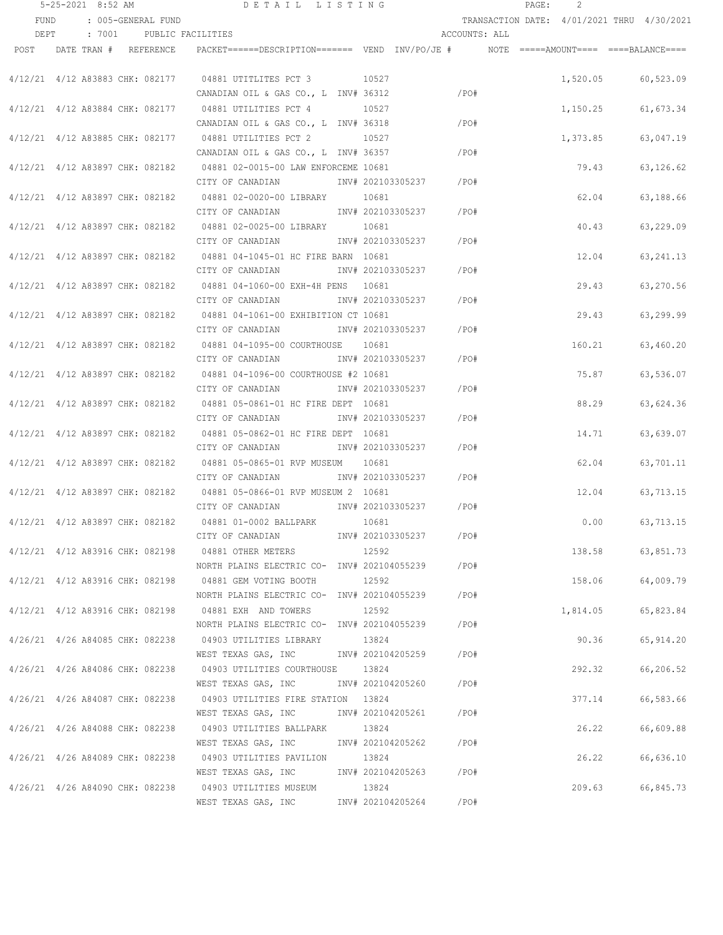|      | 5-25-2021 8:52 AM |                                 | DETAIL LISTING                                                                                      |                        |               | PAGE: | 2        |                                            |
|------|-------------------|---------------------------------|-----------------------------------------------------------------------------------------------------|------------------------|---------------|-------|----------|--------------------------------------------|
| FUND |                   | : 005-GENERAL FUND              |                                                                                                     |                        |               |       |          | TRANSACTION DATE: 4/01/2021 THRU 4/30/2021 |
| DEPT |                   | : 7001 PUBLIC FACILITIES        |                                                                                                     |                        | ACCOUNTS: ALL |       |          |                                            |
|      |                   | POST DATE TRAN # REFERENCE      | PACKET======DESCRIPTION======= VEND INV/PO/JE #    NOTE =====AMOUNT==== ====BALANCE====             |                        |               |       |          |                                            |
|      |                   |                                 | 4/12/21 4/12 A83883 CHK: 082177 04881 UTITLITES PCT 3 10527                                         |                        |               |       |          | 1,520.05 60,523.09                         |
|      |                   |                                 | CANADIAN OIL & GAS CO., L INV# 36312<br>4/12/21 4/12 A83884 CHK: 082177 04881 UTILITIES PCT 4 10527 |                        | $/$ PO#       |       | 1,150.25 | 61,673.34                                  |
|      |                   |                                 | CANADIAN OIL & GAS CO., L INV# 36318                                                                |                        | /PO#          |       |          |                                            |
|      |                   | 4/12/21 4/12 A83885 CHK: 082177 | 04881 UTILITIES PCT 2<br>10527                                                                      |                        |               |       | 1,373.85 | 63,047.19                                  |
|      |                   |                                 | CANADIAN OIL & GAS CO., L INV# 36357                                                                |                        | /PO#          |       |          |                                            |
|      |                   |                                 | 4/12/21 4/12 A83897 CHK: 082182 04881 02-0015-00 LAW ENFORCEME 10681                                |                        |               |       | 79.43    | 63,126.62                                  |
|      |                   |                                 | CITY OF CANADIAN 1NV# 202103305237 / PO#                                                            |                        |               |       |          |                                            |
|      |                   |                                 | 4/12/21 4/12 A83897 CHK: 082182 04881 02-0020-00 LIBRARY 10681                                      |                        |               |       | 62.04    | 63,188.66                                  |
|      |                   |                                 | CITY OF CANADIAN MOTHOM INV# 202103305237 / PO#                                                     |                        |               |       |          |                                            |
|      |                   |                                 | 4/12/21 4/12 A83897 CHK: 082182 04881 02-0025-00 LIBRARY 10681                                      |                        |               |       | 40.43    | 63,229.09                                  |
|      |                   |                                 | CITY OF CANADIAN 1NV# 202103305237 / PO#                                                            |                        |               |       |          |                                            |
|      |                   |                                 | 4/12/21 4/12 A83897 CHK: 082182 04881 04-1045-01 HC FIRE BARN 10681                                 |                        |               |       | 12.04    | 63, 241. 13                                |
|      |                   |                                 | CITY OF CANADIAN                                                                                    | INV# 202103305237 /PO# |               |       |          |                                            |
|      |                   |                                 | 4/12/21 4/12 A83897 CHK: 082182 04881 04-1060-00 EXH-4H PENS 10681                                  |                        |               |       | 29.43    | 63,270.56                                  |
|      |                   |                                 | CITY OF CANADIAN                                                                                    | INV# 202103305237 /PO# |               |       |          |                                            |
|      |                   |                                 | 4/12/21 4/12 A83897 CHK: 082182 04881 04-1061-00 EXHIBITION CT 10681                                |                        |               |       | 29.43    | 63,299.99                                  |
|      |                   |                                 | CITY OF CANADIAN                                                                                    | INV# 202103305237 /PO# |               |       |          |                                            |
|      |                   |                                 | 4/12/21 4/12 A83897 CHK: 082182 04881 04-1095-00 COURTHOUSE 10681                                   |                        |               |       | 160.21   | 63,460.20                                  |
|      |                   |                                 | CITY OF CANADIAN                                                                                    | INV# 202103305237      | /PO#          |       |          |                                            |
|      |                   |                                 | 4/12/21 4/12 A83897 CHK: 082182 04881 04-1096-00 COURTHOUSE #2 10681                                |                        |               |       | 75.87    | 63,536.07                                  |
|      |                   |                                 | CITY OF CANADIAN                                                                                    | INV# 202103305237      | /PO#          |       |          |                                            |
|      |                   |                                 | 4/12/21 4/12 A83897 CHK: 082182 04881 05-0861-01 HC FIRE DEPT 10681                                 |                        |               |       | 88.29    | 63,624.36                                  |
|      |                   |                                 | CITY OF CANADIAN                                                                                    | INV# 202103305237      | / PO#         |       |          |                                            |
|      |                   |                                 | 4/12/21 4/12 A83897 CHK: 082182 04881 05-0862-01 HC FIRE DEPT 10681                                 |                        |               |       | 14.71    | 63,639.07                                  |
|      |                   |                                 | CITY OF CANADIAN                                                                                    | INV# 202103305237      | /PO#          |       |          |                                            |
|      |                   |                                 | 4/12/21 4/12 A83897 CHK: 082182 04881 05-0865-01 RVP MUSEUM 10681                                   |                        |               |       | 62.04    | 63,701.11                                  |
|      |                   |                                 | CITY OF CANADIAN MW# 202103305237                                                                   |                        | /PO#          |       |          |                                            |
|      |                   | 4/12/21 4/12 A83897 CHK: 082182 | 04881 05-0866-01 RVP MUSEUM 2 10681                                                                 |                        |               |       | 12.04    | 63,713.15                                  |
|      |                   |                                 | CITY OF CANADIAN 5 1NV# 202103305237 7PO#                                                           |                        |               |       |          |                                            |
|      |                   | 4/12/21 4/12 A83897 CHK: 082182 | 04881 01-0002 BALLPARK                                                                              | 10681                  |               |       | 0.00     | 63,713.15                                  |
|      |                   |                                 | CITY OF CANADIAN                                                                                    | INV# 202103305237 /PO# |               |       |          |                                            |
|      |                   |                                 | 4/12/21 4/12 A83916 CHK: 082198 04881 OTHER METERS                                                  | 12592                  |               |       |          | 138.58 63,851.73                           |
|      |                   |                                 | NORTH PLAINS ELECTRIC CO- INV# 202104055239 / PO#                                                   |                        |               |       |          |                                            |
|      |                   |                                 | 4/12/21 4/12 A83916 CHK: 082198 04881 GEM VOTING BOOTH                                              | 12592                  |               |       |          | 158.06 64,009.79                           |
|      |                   |                                 | NORTH PLAINS ELECTRIC CO- INV# 202104055239 / PO#                                                   |                        |               |       |          |                                            |
|      |                   |                                 | 4/12/21 4/12 A83916 CHK: 082198 04881 EXH AND TOWERS                                                | 12592                  |               |       | 1,814.05 | 65,823.84                                  |
|      |                   |                                 | NORTH PLAINS ELECTRIC CO- INV# 202104055239 / PO#                                                   |                        |               |       |          |                                            |
|      |                   |                                 | 4/26/21 4/26 A84085 CHK: 082238 04903 UTILITIES LIBRARY                                             | 13824                  |               |       | 90.36    | 65,914.20                                  |
|      |                   |                                 | WEST TEXAS GAS, INC MOV# 202104205259 / PO#                                                         |                        |               |       |          |                                            |
|      |                   |                                 | 4/26/21 4/26 A84086 CHK: 082238 04903 UTILITIES COURTHOUSE 13824                                    |                        |               |       | 292.32   | 66,206.52                                  |
|      |                   |                                 | WEST TEXAS GAS, INC MOV# 202104205260 / PO#                                                         |                        |               |       |          |                                            |
|      |                   |                                 | 4/26/21 4/26 A84087 CHK: 082238 04903 UTILITIES FIRE STATION 13824                                  |                        |               |       | 377.14   | 66,583.66                                  |
|      |                   |                                 | WEST TEXAS GAS, INC MONTH 202104205261 / PO#                                                        |                        |               |       |          |                                            |
|      |                   |                                 | 4/26/21 4/26 A84088 CHK: 082238 04903 UTILITIES BALLPARK 13824                                      |                        |               |       | 26.22    | 66,609.88                                  |
|      |                   |                                 | WEST TEXAS GAS, INC     INV# 202104205262     /PO#                                                  |                        |               |       |          |                                            |
|      |                   |                                 | 4/26/21 4/26 A84089 CHK: 082238 04903 UTILITIES PAVILION 13824                                      |                        |               |       | 26.22    | 66,636.10                                  |
|      |                   |                                 | WEST TEXAS GAS, INC                                                                                 | INV# 202104205263 /PO# |               |       |          |                                            |
|      |                   |                                 | 4/26/21 4/26 A84090 CHK: 082238 04903 UTILITIES MUSEUM                                              | 13824                  |               |       | 209.63   | 66,845.73                                  |
|      |                   |                                 | WEST TEXAS GAS, INC                                                                                 | INV# 202104205264 /PO# |               |       |          |                                            |
|      |                   |                                 |                                                                                                     |                        |               |       |          |                                            |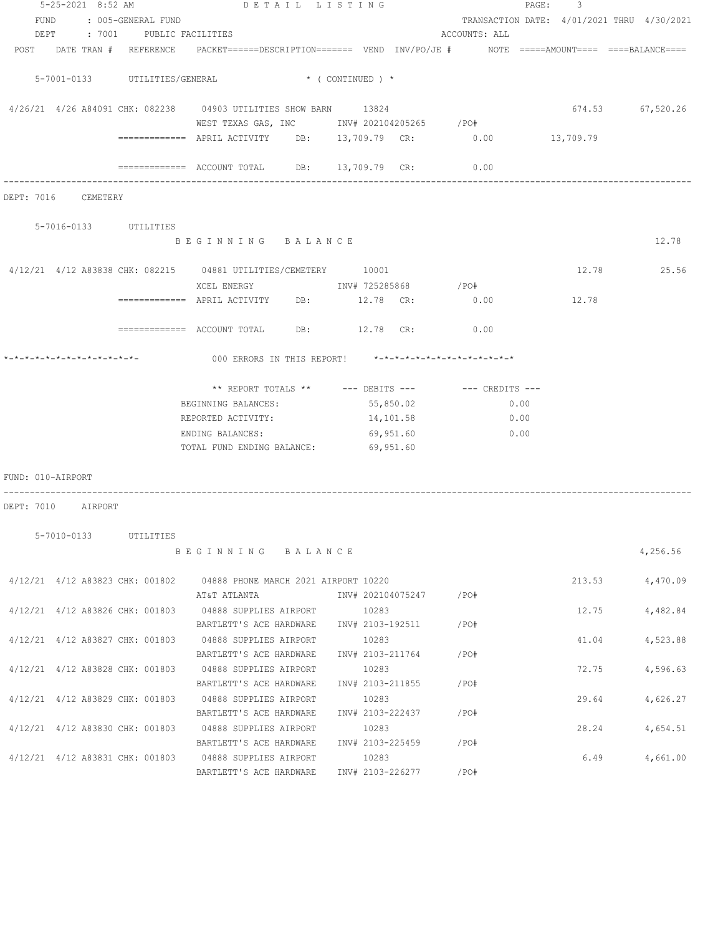|                   | 5-25-2021 8:52 AM               |           | DETAIL LISTING                                                                                                  |                  |                   |               | PAGE: 3                                    |                  |
|-------------------|---------------------------------|-----------|-----------------------------------------------------------------------------------------------------------------|------------------|-------------------|---------------|--------------------------------------------|------------------|
|                   | FUND : 005-GENERAL FUND         |           |                                                                                                                 |                  |                   |               | TRANSACTION DATE: 4/01/2021 THRU 4/30/2021 |                  |
|                   | DEPT : 7001 PUBLIC FACILITIES   |           |                                                                                                                 |                  |                   | ACCOUNTS: ALL |                                            |                  |
|                   |                                 |           | POST DATE TRAN # REFERENCE PACKET======DESCRIPTION======= VEND INV/PO/JE # NOTE =====AMOUNT==== ====BALANCE==== |                  |                   |               |                                            |                  |
|                   |                                 |           |                                                                                                                 |                  |                   |               |                                            |                  |
|                   |                                 |           | 5-7001-0133 UTILITIES/GENERAL * (CONTINUED) *                                                                   |                  |                   |               |                                            |                  |
|                   |                                 |           |                                                                                                                 |                  |                   |               |                                            |                  |
|                   |                                 |           | 4/26/21 4/26 A84091 CHK: 082238 04903 UTILITIES SHOW BARN 13824                                                 |                  |                   |               |                                            | 674.53 67,520.26 |
|                   |                                 |           | WEST TEXAS GAS, INC        INV# 202104205265     /PO#                                                           |                  |                   |               |                                            |                  |
|                   |                                 |           | ============ APRIL ACTIVITY DB: 13,709.79 CR: 0.00 13,709.79                                                    |                  |                   |               |                                            |                  |
|                   |                                 |           |                                                                                                                 |                  |                   |               |                                            |                  |
|                   |                                 |           | ============ ACCOUNT TOTAL DB: 13,709.79 CR: 0.00                                                               |                  |                   |               |                                            |                  |
|                   |                                 |           |                                                                                                                 |                  |                   |               |                                            |                  |
|                   | DEPT: 7016 CEMETERY             |           |                                                                                                                 |                  |                   |               |                                            |                  |
|                   | 5-7016-0133 UTILITIES           |           |                                                                                                                 |                  |                   |               |                                            |                  |
|                   |                                 |           | BEGINNING BALANCE                                                                                               |                  |                   |               |                                            | 12.78            |
|                   |                                 |           |                                                                                                                 |                  |                   |               |                                            |                  |
|                   |                                 |           | $4/12/21$ $4/12$ A83838 CHK: 082215 04881 UTILITIES/CEMETERY 10001                                              |                  |                   |               |                                            | 12.78 25.56      |
|                   |                                 |           |                                                                                                                 |                  |                   |               |                                            |                  |
|                   |                                 |           | ============ APRIL ACTIVITY DB: 12.78 CR: 0.00 12.78                                                            |                  |                   |               |                                            |                  |
|                   |                                 |           |                                                                                                                 |                  |                   |               |                                            |                  |
|                   |                                 |           | ============ ACCOUNT TOTAL DB: 12.78 CR: 0.00                                                                   |                  |                   |               |                                            |                  |
|                   |                                 |           |                                                                                                                 |                  |                   |               |                                            |                  |
|                   |                                 |           |                                                                                                                 |                  |                   |               |                                            |                  |
|                   |                                 |           |                                                                                                                 |                  |                   |               |                                            |                  |
|                   |                                 |           | ** REPORT TOTALS ** --- DEBITS --- -- CREDITS ---                                                               |                  |                   |               |                                            |                  |
|                   |                                 |           | BEGINNING BALANCES:                                                                                             |                  | 55,850.02         | 0.00          |                                            |                  |
|                   |                                 |           | REPORTED ACTIVITY:                                                                                              | 14,101.58        |                   | 0.00          |                                            |                  |
|                   |                                 |           | ENDING BALANCES:                                                                                                | 69,951.60        |                   | 0.00          |                                            |                  |
|                   |                                 |           | TOTAL FUND ENDING BALANCE: 69,951.60                                                                            |                  |                   |               |                                            |                  |
|                   |                                 |           |                                                                                                                 |                  |                   |               |                                            |                  |
| FUND: 010-AIRPORT |                                 |           |                                                                                                                 |                  |                   |               |                                            |                  |
|                   |                                 |           |                                                                                                                 |                  |                   |               |                                            |                  |
|                   | DEPT: 7010 AIRPORT              |           |                                                                                                                 |                  |                   |               |                                            |                  |
|                   |                                 |           |                                                                                                                 |                  |                   |               |                                            |                  |
|                   | 5-7010-0133                     | UTILITIES | BEGINNING BALANCE                                                                                               |                  |                   |               |                                            |                  |
|                   |                                 |           |                                                                                                                 |                  |                   |               |                                            | 4,256.56         |
|                   | 4/12/21 4/12 A83823 CHK: 001802 |           | 04888 PHONE MARCH 2021 AIRPORT 10220                                                                            |                  |                   |               | 213.53                                     | 4,470.09         |
|                   |                                 |           | AT&T ATLANTA                                                                                                    |                  | INV# 202104075247 | /PO#          |                                            |                  |
|                   | 4/12/21 4/12 A83826 CHK: 001803 |           | 04888 SUPPLIES AIRPORT                                                                                          | 10283            |                   |               | 12.75                                      | 4,482.84         |
|                   |                                 |           | BARTLETT'S ACE HARDWARE                                                                                         | INV# 2103-192511 |                   | /PO#          |                                            |                  |
|                   | 4/12/21 4/12 A83827 CHK: 001803 |           | 04888 SUPPLIES AIRPORT                                                                                          | 10283            |                   |               | 41.04                                      | 4,523.88         |
|                   |                                 |           | BARTLETT'S ACE HARDWARE                                                                                         | INV# 2103-211764 |                   | /PO#          |                                            |                  |
|                   | 4/12/21 4/12 A83828 CHK: 001803 |           | 04888 SUPPLIES AIRPORT                                                                                          | 10283            |                   |               | 72.75                                      | 4,596.63         |
|                   |                                 |           | BARTLETT'S ACE HARDWARE                                                                                         | INV# 2103-211855 |                   | /PO#          |                                            |                  |
|                   | 4/12/21 4/12 A83829 CHK: 001803 |           | 04888 SUPPLIES AIRPORT                                                                                          | 10283            |                   |               | 29.64                                      | 4,626.27         |
|                   |                                 |           | BARTLETT'S ACE HARDWARE                                                                                         | INV# 2103-222437 |                   | /PO#          |                                            |                  |
|                   | 4/12/21 4/12 A83830 CHK: 001803 |           | 04888 SUPPLIES AIRPORT                                                                                          | 10283            |                   |               | 28.24                                      | 4,654.51         |
|                   |                                 |           | BARTLETT'S ACE HARDWARE                                                                                         | INV# 2103-225459 |                   | /PO#          |                                            |                  |
|                   | 4/12/21 4/12 A83831 CHK: 001803 |           | 04888 SUPPLIES AIRPORT                                                                                          | 10283            |                   |               | 6.49                                       | 4,661.00         |
|                   |                                 |           | BARTLETT'S ACE HARDWARE                                                                                         | INV# 2103-226277 |                   | /PO#          |                                            |                  |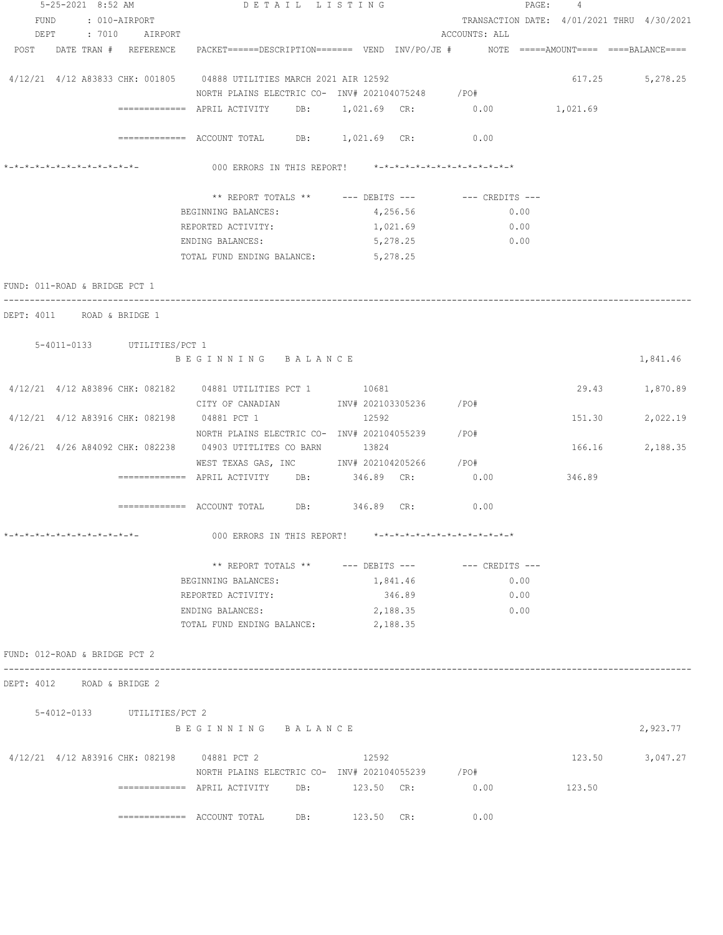|                               |  | 5-25-2021 8:52 AM           | DETAIL LISTING                                                                                                  |            |          |                                            | PAGE: 4  |                 |
|-------------------------------|--|-----------------------------|-----------------------------------------------------------------------------------------------------------------|------------|----------|--------------------------------------------|----------|-----------------|
|                               |  | FUND : 010-AIRPORT          |                                                                                                                 |            |          | TRANSACTION DATE: 4/01/2021 THRU 4/30/2021 |          |                 |
|                               |  | DEPT : 7010 AIRPORT         |                                                                                                                 |            |          | ACCOUNTS: ALL                              |          |                 |
|                               |  |                             | POST DATE TRAN # REFERENCE PACKET======DESCRIPTION======= VEND INV/PO/JE # NOTE =====AMOUNT==== ====BALANCE==== |            |          |                                            |          |                 |
|                               |  |                             | 4/12/21 4/12 A83833 CHK: 001805 04888 UTILITIES MARCH 2021 AIR 12592                                            |            |          |                                            |          | 617.25 5,278.25 |
|                               |  |                             | NORTH PLAINS ELECTRIC CO- INV# 202104075248                                                                     |            |          | / PO#                                      |          |                 |
|                               |  |                             | ------------- APRIL ACTIVITY DB: 1,021.69 CR: 0.00                                                              |            |          |                                            | 1,021.69 |                 |
|                               |  |                             | ============ ACCOUNT TOTAL DB: 1,021.69 CR: 0.00                                                                |            |          |                                            |          |                 |
|                               |  | *-*-*-*-*-*-*-*-*-*-*-*-*-  | 000 ERRORS IN THIS REPORT! *-*-*-*-*-*-*-*-*-*-*-*-*-*-                                                         |            |          |                                            |          |                 |
|                               |  |                             | ** REPORT TOTALS ** --- DEBITS --- -- -- CREDITS ---                                                            |            |          |                                            |          |                 |
|                               |  |                             | BEGINNING BALANCES:                                                                                             |            | 4,256.56 | 0.00                                       |          |                 |
|                               |  |                             | REPORTED ACTIVITY:                                                                                              |            | 1,021.69 | 0.00                                       |          |                 |
|                               |  |                             | ENDING BALANCES:                                                                                                |            | 5,278.25 | 0.00                                       |          |                 |
|                               |  |                             | TOTAL FUND ENDING BALANCE:                                                                                      | 5,278.25   |          |                                            |          |                 |
| FUND: 011-ROAD & BRIDGE PCT 1 |  |                             |                                                                                                                 |            |          |                                            |          |                 |
| DEPT: 4011 ROAD & BRIDGE 1    |  |                             |                                                                                                                 |            |          |                                            |          |                 |
|                               |  | 5-4011-0133 UTILITIES/PCT 1 |                                                                                                                 |            |          |                                            |          |                 |
|                               |  |                             | BEGINNING BALANCE                                                                                               |            |          |                                            |          | 1,841.46        |
|                               |  |                             | 4/12/21 4/12 A83896 CHK: 082182 04881 UTILITIES PCT 1 10681                                                     |            |          |                                            |          | 29.43 1,870.89  |
|                               |  |                             | CITY OF CANADIAN 1NV# 202103305236 / PO#                                                                        |            |          |                                            |          |                 |
|                               |  |                             | 4/12/21 4/12 A83916 CHK: 082198 04881 PCT 1                                                                     | 12592      |          |                                            | 151.30   | 2,022.19        |
|                               |  |                             | NORTH PLAINS ELECTRIC CO- INV# 202104055239 / PO#                                                               |            |          |                                            |          |                 |
|                               |  |                             | 4/26/21 4/26 A84092 CHK: 082238 04903 UTITLITES CO BARN 13824                                                   |            |          |                                            |          | 166.16 2,188.35 |
|                               |  |                             | WEST TEXAS GAS, INC MOV# 202104205266 / PO#                                                                     |            |          |                                            |          |                 |
|                               |  |                             | $\overline{\phantom{z}}$ ============= APRIL ACTIVITY DB:                                                       | 346.89 CR: |          | 0.00                                       | 346.89   |                 |
|                               |  |                             | ============ ACCOUNT TOTAL DB: 346.89 CR: 0.00                                                                  |            |          |                                            |          |                 |
| *-*-*-*-*-*-*-*-*-*-*-*-*-*-  |  |                             | 000 ERRORS IN THIS REPORT! $*-*-*-*-*-*-*-*-*-*-*-*-*-*-**$                                                     |            |          |                                            |          |                 |
|                               |  |                             | ** REPORT TOTALS ** --- DEBITS --- -- -- CREDITS ---                                                            |            |          |                                            |          |                 |
|                               |  |                             | BEGINNING BALANCES:                                                                                             |            | 1,841.46 | 0.00                                       |          |                 |
|                               |  |                             | REPORTED ACTIVITY:                                                                                              |            | 346.89   | 0.00                                       |          |                 |
|                               |  |                             | ENDING BALANCES:                                                                                                |            | 2,188.35 | 0.00                                       |          |                 |
|                               |  |                             | TOTAL FUND ENDING BALANCE:                                                                                      | 2,188.35   |          |                                            |          |                 |
| FUND: 012-ROAD & BRIDGE PCT 2 |  |                             |                                                                                                                 |            |          |                                            |          |                 |
| DEPT: 4012 ROAD & BRIDGE 2    |  |                             |                                                                                                                 |            |          |                                            |          |                 |
|                               |  |                             |                                                                                                                 |            |          |                                            |          |                 |
|                               |  | 5-4012-0133 UTILITIES/PCT 2 | BEGINNING BALANCE                                                                                               |            |          |                                            |          | 2,923.77        |
|                               |  |                             |                                                                                                                 |            |          |                                            |          |                 |
|                               |  |                             | 4/12/21 4/12 A83916 CHK: 082198 04881 PCT 2<br>NORTH PLAINS ELECTRIC CO- INV# 202104055239 / PO#                | 12592      |          |                                            |          | 123.50 3,047.27 |
|                               |  |                             |                                                                                                                 |            |          | 0.00                                       | 123.50   |                 |
|                               |  |                             | $\overline{\phantom{z}}$ ============= ACCOUNT TOTAL DB: 123.50 CR:                                             |            |          | 0.00                                       |          |                 |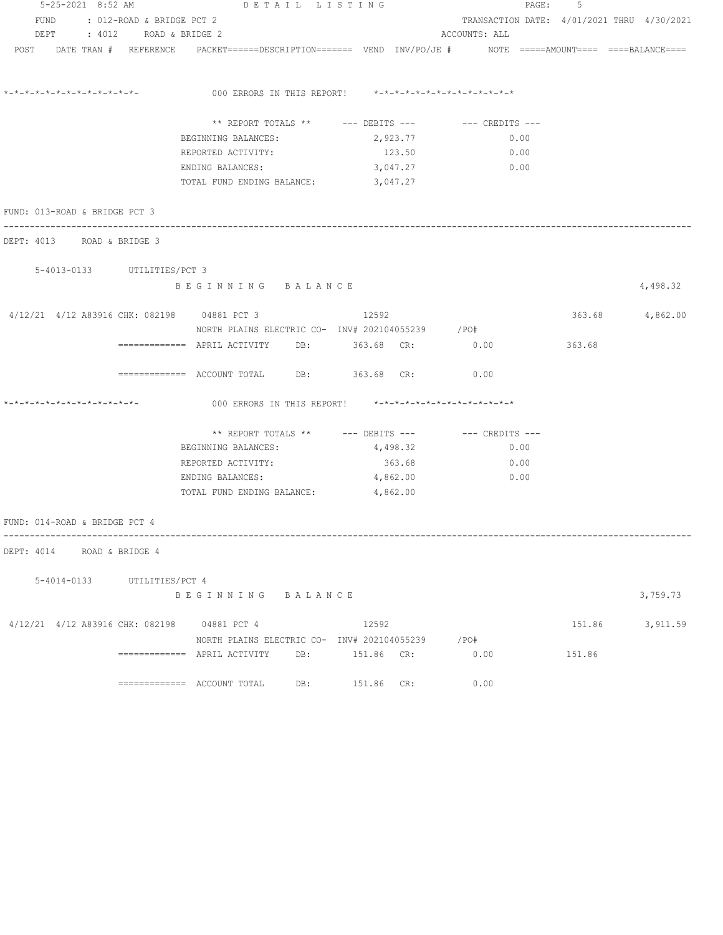|  | 5-25-2021 8:52 AM              |                                | DETAIL LISTING                                                                                                  |     | 5<br>PAGE:                         |  |                                                   |        |                 |
|--|--------------------------------|--------------------------------|-----------------------------------------------------------------------------------------------------------------|-----|------------------------------------|--|---------------------------------------------------|--------|-----------------|
|  |                                | FUND : 012-ROAD & BRIDGE PCT 2 |                                                                                                                 |     |                                    |  | TRANSACTION DATE: 4/01/2021 THRU 4/30/2021        |        |                 |
|  |                                | DEPT : 4012 ROAD & BRIDGE 2    |                                                                                                                 |     |                                    |  | ACCOUNTS: ALL                                     |        |                 |
|  |                                |                                | POST DATE TRAN # REFERENCE PACKET======DESCRIPTION======= VEND INV/PO/JE # NOTE =====AMOUNT==== ====BALANCE==== |     |                                    |  |                                                   |        |                 |
|  |                                |                                |                                                                                                                 |     |                                    |  |                                                   |        |                 |
|  | *_*_*_*_*_*_*_*_*_*_*_*_*_*_*_ |                                | 000 ERRORS IN THIS REPORT! *-*-*-*-*-*-*-*-*-*-*-*-*-*-                                                         |     |                                    |  |                                                   |        |                 |
|  |                                |                                |                                                                                                                 |     |                                    |  | ** REPORT TOTALS ** --- DEBITS --- -- CREDITS --- |        |                 |
|  |                                |                                | BEGINNING BALANCES:                                                                                             |     | 2,923.77                           |  | 0.00                                              |        |                 |
|  |                                |                                | REPORTED ACTIVITY:                                                                                              |     | 123.50                             |  | 0.00                                              |        |                 |
|  |                                |                                | ENDING BALANCES:                                                                                                |     | 3,047.27                           |  | 0.00                                              |        |                 |
|  |                                |                                | TOTAL FUND ENDING BALANCE: 3,047.27                                                                             |     |                                    |  |                                                   |        |                 |
|  | FUND: 013-ROAD & BRIDGE PCT 3  |                                |                                                                                                                 |     |                                    |  |                                                   |        |                 |
|  |                                | DEPT: 4013 ROAD & BRIDGE 3     |                                                                                                                 |     |                                    |  |                                                   |        |                 |
|  |                                | 5-4013-0133 UTILITIES/PCT 3    |                                                                                                                 |     |                                    |  |                                                   |        |                 |
|  |                                |                                | BEGINNING BALANCE                                                                                               |     |                                    |  |                                                   |        | 4,498.32        |
|  |                                |                                |                                                                                                                 |     |                                    |  |                                                   |        |                 |
|  |                                |                                | 4/12/21 4/12 A83916 CHK: 082198 04881 PCT 3<br>NORTH PLAINS ELECTRIC CO- INV# 202104055239 / PO#                |     | 12592                              |  |                                                   |        | 363.68 4,862.00 |
|  |                                |                                | ============ APRIL ACTIVITY DB: 363.68 CR: 0.00                                                                 |     |                                    |  |                                                   | 363.68 |                 |
|  |                                |                                | $\text{---}\text{---}\text{---}\text{---}$ ACCOUNT TOTAL DB: 363.68 CR:                                         |     |                                    |  | 0.00                                              |        |                 |
|  | *-*-*-*-*-*-*-*-*-*-*-*-*-*-   |                                | 000 ERRORS IN THIS REPORT! *-*-*-*-*-*-*-*-*-*-*-*-*-*-                                                         |     |                                    |  |                                                   |        |                 |
|  |                                |                                |                                                                                                                 |     | ** REPORT TOTALS ** --- DEBITS --- |  | --- CREDITS ---                                   |        |                 |
|  |                                |                                | BEGINNING BALANCES:                                                                                             |     | 4,498.32                           |  | 0.00                                              |        |                 |
|  |                                |                                | REPORTED ACTIVITY:                                                                                              |     | 363.68                             |  | 0.00                                              |        |                 |
|  |                                |                                | ENDING BALANCES:                                                                                                |     | 4,862.00                           |  | 0.00                                              |        |                 |
|  |                                |                                | TOTAL FUND ENDING BALANCE: 4,862.00                                                                             |     |                                    |  |                                                   |        |                 |
|  | FUND: 014-ROAD & BRIDGE PCT 4  |                                |                                                                                                                 |     |                                    |  |                                                   |        |                 |
|  |                                | DEPT: 4014 ROAD & BRIDGE 4     |                                                                                                                 |     |                                    |  |                                                   |        |                 |
|  |                                |                                |                                                                                                                 |     |                                    |  |                                                   |        |                 |
|  |                                | 5-4014-0133 UTILITIES/PCT 4    |                                                                                                                 |     |                                    |  |                                                   |        |                 |
|  |                                |                                | BEGINNING BALANCE                                                                                               |     |                                    |  |                                                   |        | 3,759.73        |
|  |                                |                                | 4/12/21 4/12 A83916 CHK: 082198 04881 PCT 4                                                                     |     | 12592                              |  |                                                   | 151.86 | 3,911.59        |
|  |                                |                                | NORTH PLAINS ELECTRIC CO- INV# 202104055239 / PO#                                                               |     |                                    |  |                                                   |        |                 |
|  |                                |                                |                                                                                                                 |     |                                    |  | 0.00                                              | 151.86 |                 |
|  |                                |                                |                                                                                                                 | DB: | 151.86 CR:                         |  | 0.00                                              |        |                 |